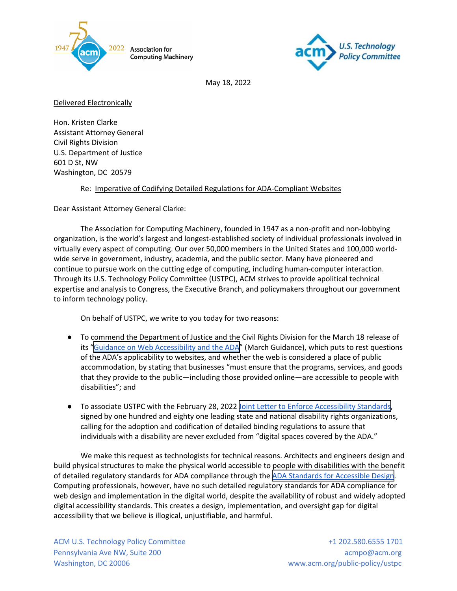



May 18, 2022

Delivered Electronically

Hon. Kristen Clarke Assistant Attorney General Civil Rights Division U.S. Department of Justice 601 D St, NW Washington, DC 20579

Re: Imperative of Codifying Detailed Regulations for ADA-Compliant Websites

Dear Assistant Attorney General Clarke:

The Association for Computing Machinery, founded in 1947 as a non-profit and non-lobbying organization, is the world's largest and longest-established society of individual professionals involved in virtually every aspect of computing. Our over 50,000 members in the United States and 100,000 worldwide serve in government, industry, academia, and the public sector. Many have pioneered and continue to pursue work on the cutting edge of computing, including human-computer interaction. Through its U.S. Technology Policy Committee (USTPC), ACM strives to provide apolitical technical expertise and analysis to Congress, the Executive Branch, and policymakers throughout our government to inform technology policy.

On behalf of USTPC, we write to you today for two reasons:

- To commend the Department of Justice and the Civil Rights Division for the March 18 release of its "[Guidance on Web Accessibility and the ADA"](https://beta.ada.gov/web-guidance/) (March Guidance), which puts to rest questions of the ADA's applicability to websites, and whether the web is considered a place of public accommodation, by stating that businesses "must ensure that the programs, services, and goods that they provide to the public—including those provided online—are accessible to people with disabilities"; and
- To associate USTPC with the February 28, 2022 [Joint Letter to Enforce Accessibility Standards,](https://www.acb.org/accessibility-standards-joint-letter-2-28-22) signed by one hundred and eighty one leading state and national disability rights organizations, calling for the adoption and codification of detailed binding regulations to assure that individuals with a disability are never excluded from "digital spaces covered by the ADA."

We make this request as technologists for technical reasons. Architects and engineers design and build physical structures to make the physical world accessible to people with disabilities with the benefit of detailed regulatory standards for ADA compliance through the [ADA Standards for Accessible Design](https://www.ada.gov/2010ADAstandards_index.htm). Computing professionals, however, have no such detailed regulatory standards for ADA compliance for web design and implementation in the digital world, despite the availability of robust and widely adopted digital accessibility standards. This creates a design, implementation, and oversight gap for digital accessibility that we believe is illogical, unjustifiable, and harmful.

ACM U.S. Technology Policy Committee  $+1$  202.580.6555 1701 Pennsylvania Ave NW, Suite 200 acmpo@acm.org acmpo@acm.org Washington, DC 20006 www.acm.org/public-policy/ustpc